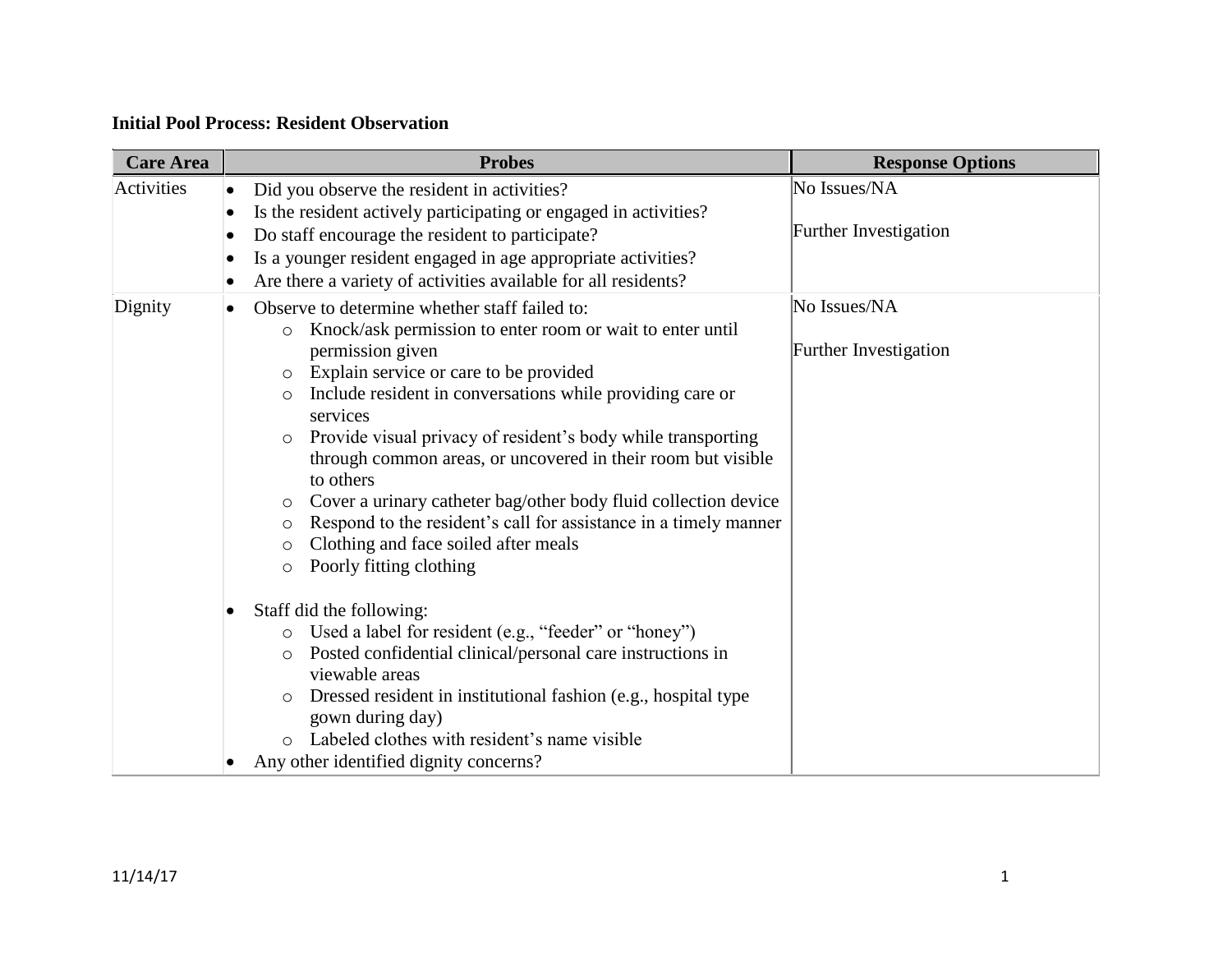## **Initial Pool Process: Resident Observation**

| <b>Care Area</b> | <b>Probes</b>                                                                                                                           | <b>Response Options</b>      |
|------------------|-----------------------------------------------------------------------------------------------------------------------------------------|------------------------------|
| Activities       | Did you observe the resident in activities?<br>$\bullet$                                                                                | No Issues/NA                 |
|                  | Is the resident actively participating or engaged in activities?<br>Do staff encourage the resident to participate?<br>$\bullet$        | <b>Further Investigation</b> |
|                  | Is a younger resident engaged in age appropriate activities?<br>$\bullet$                                                               |                              |
|                  | Are there a variety of activities available for all residents?                                                                          |                              |
| Dignity          | Observe to determine whether staff failed to:<br>$\bullet$                                                                              | No Issues/NA                 |
|                  | Knock/ask permission to enter room or wait to enter until<br>$\circ$<br>permission given                                                | Further Investigation        |
|                  | Explain service or care to be provided<br>$\circ$<br>Include resident in conversations while providing care or<br>$\circ$<br>services   |                              |
|                  | Provide visual privacy of resident's body while transporting<br>$\circ$<br>through common areas, or uncovered in their room but visible |                              |
|                  | to others<br>Cover a urinary catheter bag/other body fluid collection device<br>$\circ$                                                 |                              |
|                  | Respond to the resident's call for assistance in a timely manner<br>$\circ$                                                             |                              |
|                  | Clothing and face soiled after meals<br>$\circ$                                                                                         |                              |
|                  | Poorly fitting clothing<br>$\circ$                                                                                                      |                              |
|                  | Staff did the following:<br>ı                                                                                                           |                              |
|                  | Used a label for resident (e.g., "feeder" or "honey")<br>$\circ$                                                                        |                              |
|                  | Posted confidential clinical/personal care instructions in<br>O                                                                         |                              |
|                  | viewable areas                                                                                                                          |                              |
|                  | Dressed resident in institutional fashion (e.g., hospital type<br>$\circ$<br>gown during day)                                           |                              |
|                  | Labeled clothes with resident's name visible                                                                                            |                              |
|                  | Any other identified dignity concerns?                                                                                                  |                              |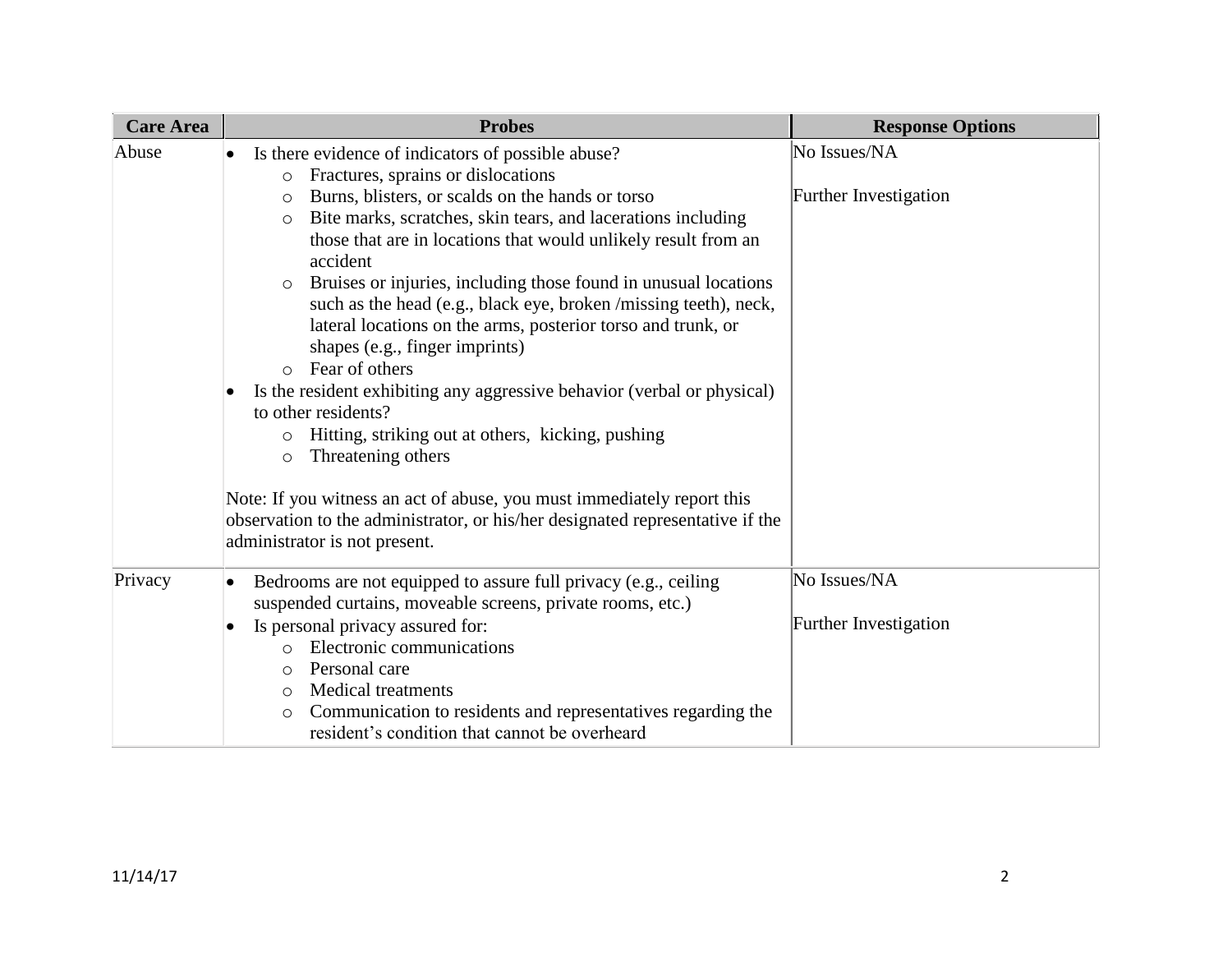| <b>Care Area</b> | <b>Probes</b>                                                                                                                                                                                                                                                                                                                                                                                                                                                                                                                                                                                                                                                                                                                                                                                                                                                                                                                                                                                                              | <b>Response Options</b>               |
|------------------|----------------------------------------------------------------------------------------------------------------------------------------------------------------------------------------------------------------------------------------------------------------------------------------------------------------------------------------------------------------------------------------------------------------------------------------------------------------------------------------------------------------------------------------------------------------------------------------------------------------------------------------------------------------------------------------------------------------------------------------------------------------------------------------------------------------------------------------------------------------------------------------------------------------------------------------------------------------------------------------------------------------------------|---------------------------------------|
| Abuse            | Is there evidence of indicators of possible abuse?<br>$\bullet$<br>Fractures, sprains or dislocations<br>$\circ$<br>Burns, blisters, or scalds on the hands or torso<br>$\circ$<br>Bite marks, scratches, skin tears, and lacerations including<br>$\circ$<br>those that are in locations that would unlikely result from an<br>accident<br>Bruises or injuries, including those found in unusual locations<br>$\circ$<br>such as the head (e.g., black eye, broken /missing teeth), neck,<br>lateral locations on the arms, posterior torso and trunk, or<br>shapes (e.g., finger imprints)<br>Fear of others<br>$\bigcap$<br>Is the resident exhibiting any aggressive behavior (verbal or physical)<br>to other residents?<br>Hitting, striking out at others, kicking, pushing<br>$\circ$<br>Threatening others<br>$\circ$<br>Note: If you witness an act of abuse, you must immediately report this<br>observation to the administrator, or his/her designated representative if the<br>administrator is not present. | No Issues/NA<br>Further Investigation |
| Privacy          | Bedrooms are not equipped to assure full privacy (e.g., ceiling<br>$\bullet$<br>suspended curtains, moveable screens, private rooms, etc.)<br>Is personal privacy assured for:<br>Electronic communications<br>$\circ$<br>Personal care<br>$\circ$<br><b>Medical treatments</b><br>$\circ$<br>Communication to residents and representatives regarding the<br>$\circ$<br>resident's condition that cannot be overheard                                                                                                                                                                                                                                                                                                                                                                                                                                                                                                                                                                                                     | No Issues/NA<br>Further Investigation |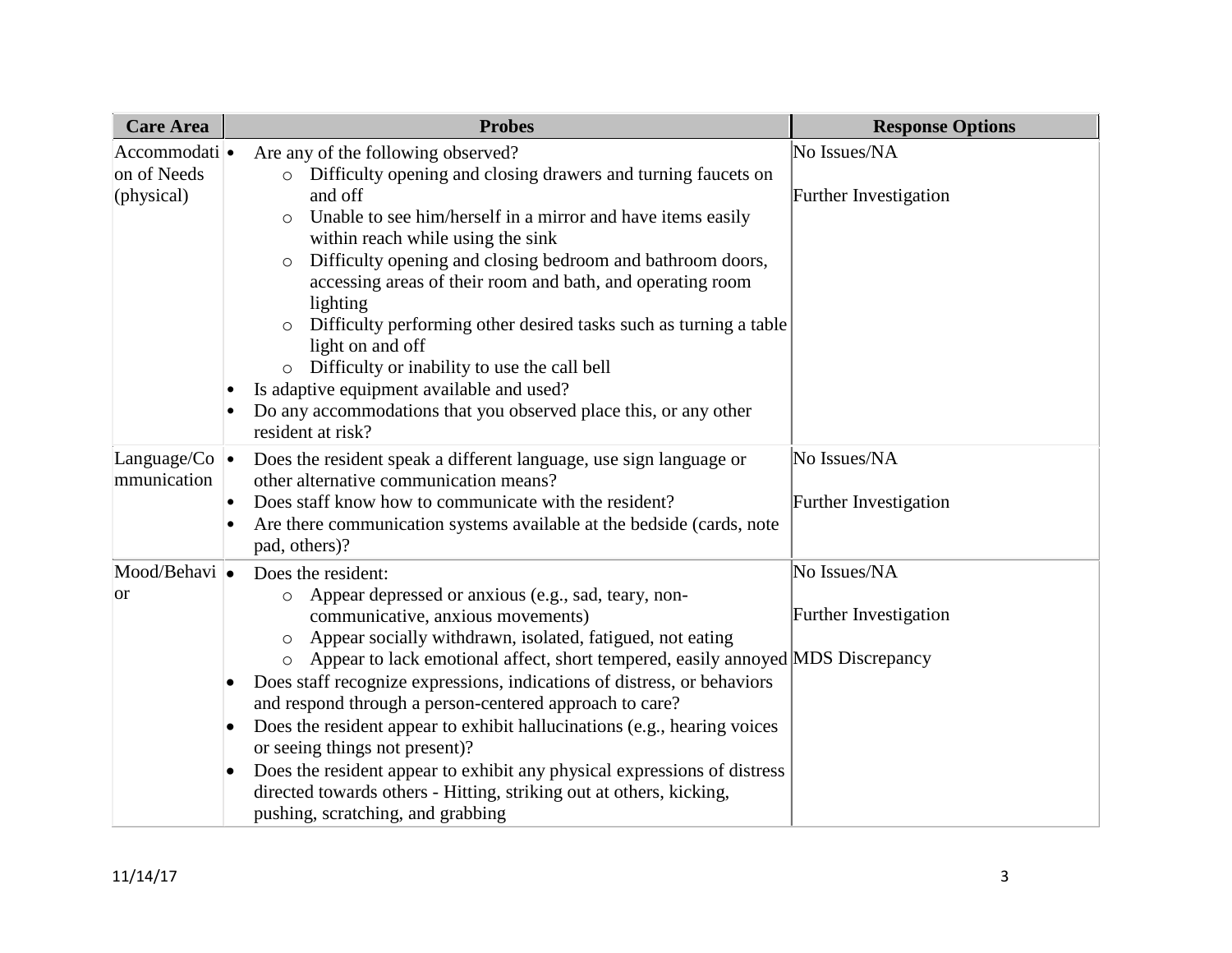| <b>Care Area</b>                           | <b>Probes</b>                                                                                                                                                                                                                                                                                                                                                                                                                                                                                                                                                                                                                                                                                                                               | <b>Response Options</b>                      |
|--------------------------------------------|---------------------------------------------------------------------------------------------------------------------------------------------------------------------------------------------------------------------------------------------------------------------------------------------------------------------------------------------------------------------------------------------------------------------------------------------------------------------------------------------------------------------------------------------------------------------------------------------------------------------------------------------------------------------------------------------------------------------------------------------|----------------------------------------------|
| Accommodati ·<br>on of Needs<br>(physical) | Are any of the following observed?<br>Difficulty opening and closing drawers and turning faucets on<br>and off<br>Unable to see him/herself in a mirror and have items easily<br>within reach while using the sink<br>Difficulty opening and closing bedroom and bathroom doors,<br>$\circ$<br>accessing areas of their room and bath, and operating room<br>lighting<br>Difficulty performing other desired tasks such as turning a table<br>light on and off<br>Difficulty or inability to use the call bell<br>Is adaptive equipment available and used?<br>Do any accommodations that you observed place this, or any other<br>resident at risk?                                                                                        | No Issues/NA<br>Further Investigation        |
| Language/Co $\bullet$<br>mmunication       | Does the resident speak a different language, use sign language or<br>other alternative communication means?<br>Does staff know how to communicate with the resident?<br>Are there communication systems available at the bedside (cards, note<br>pad, others)?                                                                                                                                                                                                                                                                                                                                                                                                                                                                             | No Issues/NA<br><b>Further Investigation</b> |
| Mood/Behavi •<br><b>or</b>                 | Does the resident:<br>Appear depressed or anxious (e.g., sad, teary, non-<br>$\circ$<br>communicative, anxious movements)<br>Appear socially withdrawn, isolated, fatigued, not eating<br>$\circ$<br>Appear to lack emotional affect, short tempered, easily annoyed MDS Discrepancy<br>$\circ$<br>Does staff recognize expressions, indications of distress, or behaviors<br>and respond through a person-centered approach to care?<br>Does the resident appear to exhibit hallucinations (e.g., hearing voices<br>or seeing things not present)?<br>Does the resident appear to exhibit any physical expressions of distress<br>directed towards others - Hitting, striking out at others, kicking,<br>pushing, scratching, and grabbing | No Issues/NA<br><b>Further Investigation</b> |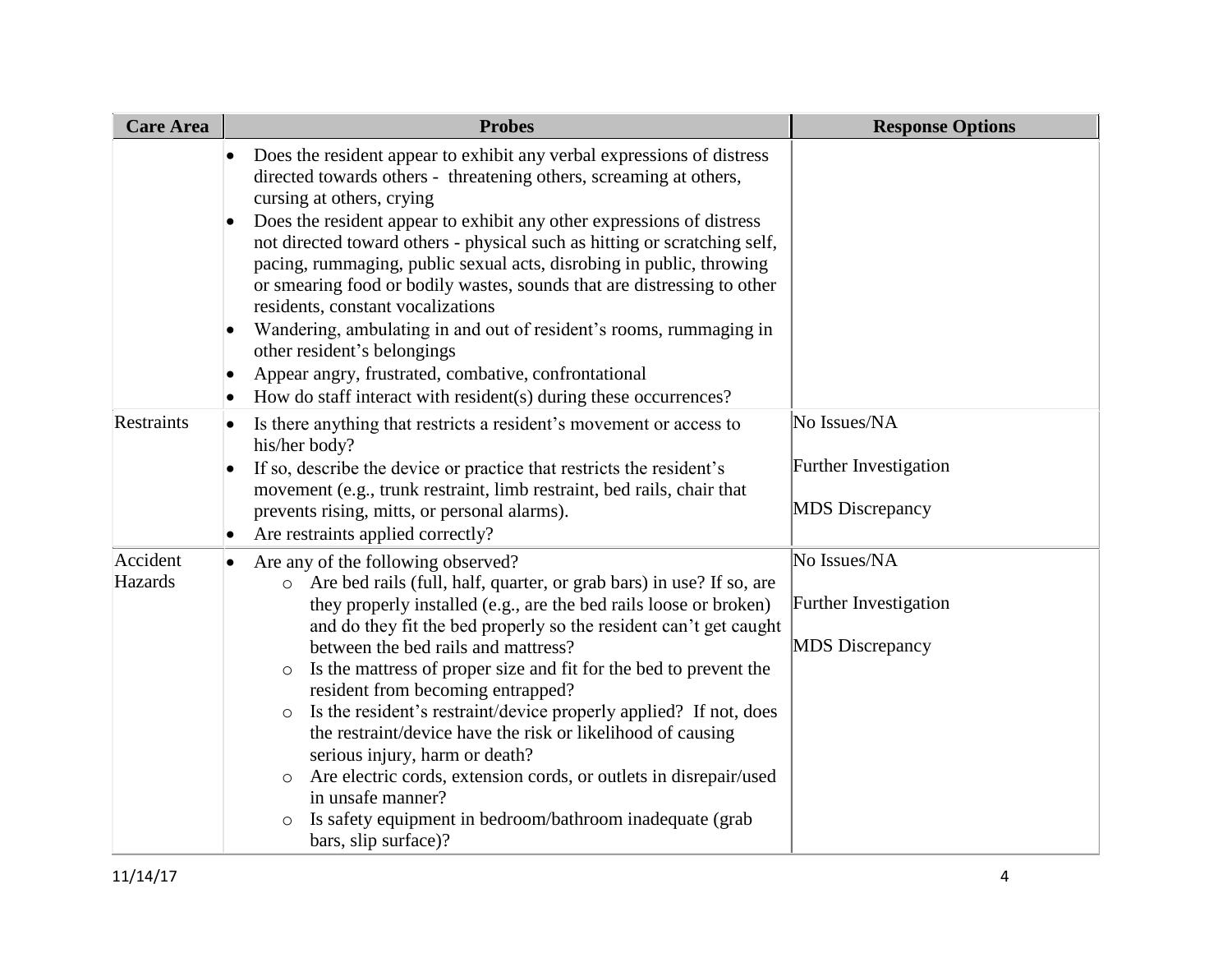| <b>Care Area</b>    | <b>Probes</b>                                                                                                                                                                                                                                                                                                                                                                                                                                                                                                                                                                                                                                                                                                                                                                                         | <b>Response Options</b>                                         |
|---------------------|-------------------------------------------------------------------------------------------------------------------------------------------------------------------------------------------------------------------------------------------------------------------------------------------------------------------------------------------------------------------------------------------------------------------------------------------------------------------------------------------------------------------------------------------------------------------------------------------------------------------------------------------------------------------------------------------------------------------------------------------------------------------------------------------------------|-----------------------------------------------------------------|
|                     | Does the resident appear to exhibit any verbal expressions of distress<br>directed towards others - threatening others, screaming at others,<br>cursing at others, crying<br>Does the resident appear to exhibit any other expressions of distress<br>not directed toward others - physical such as hitting or scratching self,<br>pacing, rummaging, public sexual acts, disrobing in public, throwing<br>or smearing food or bodily wastes, sounds that are distressing to other<br>residents, constant vocalizations<br>Wandering, ambulating in and out of resident's rooms, rummaging in<br>other resident's belongings<br>Appear angry, frustrated, combative, confrontational<br>How do staff interact with resident(s) during these occurrences?                                              |                                                                 |
| Restraints          | Is there anything that restricts a resident's movement or access to<br>$\bullet$<br>his/her body?<br>If so, describe the device or practice that restricts the resident's<br>movement (e.g., trunk restraint, limb restraint, bed rails, chair that<br>prevents rising, mitts, or personal alarms).<br>Are restraints applied correctly?<br>$\bullet$                                                                                                                                                                                                                                                                                                                                                                                                                                                 | No Issues/NA<br>Further Investigation<br><b>MDS</b> Discrepancy |
| Accident<br>Hazards | Are any of the following observed?<br>Are bed rails (full, half, quarter, or grab bars) in use? If so, are<br>$\circ$<br>they properly installed (e.g., are the bed rails loose or broken)<br>and do they fit the bed properly so the resident can't get caught<br>between the bed rails and mattress?<br>Is the mattress of proper size and fit for the bed to prevent the<br>$\circ$<br>resident from becoming entrapped?<br>Is the resident's restraint/device properly applied? If not, does<br>$\circ$<br>the restraint/device have the risk or likelihood of causing<br>serious injury, harm or death?<br>Are electric cords, extension cords, or outlets in disrepair/used<br>$\circ$<br>in unsafe manner?<br>Is safety equipment in bedroom/bathroom inadequate (grab<br>bars, slip surface)? | No Issues/NA<br>Further Investigation<br><b>MDS</b> Discrepancy |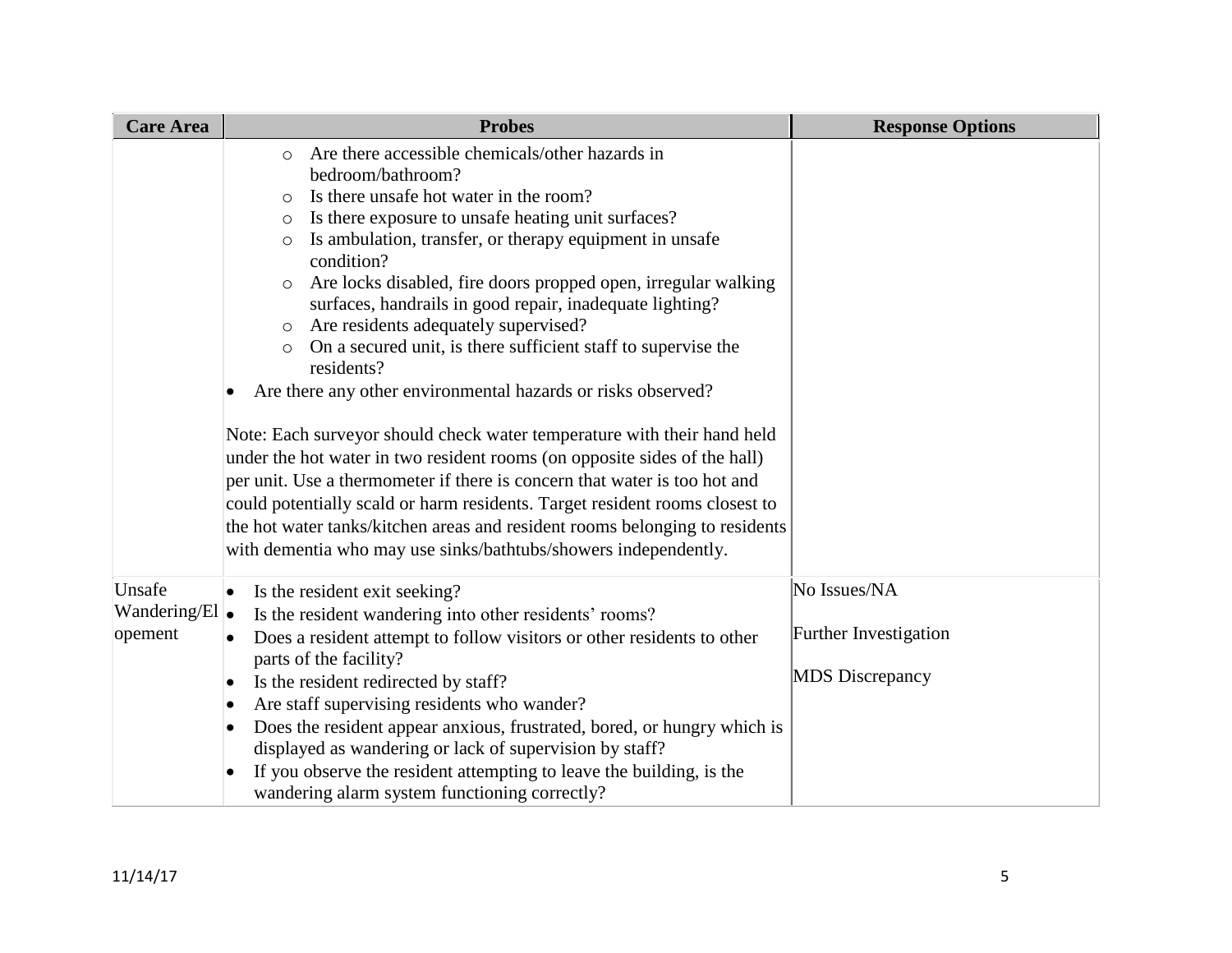| <b>Care Area</b>                            | <b>Probes</b>                                                                                                                                                                                                                                                                                                                                                                                                                                                                                                                                                                                                                                                                                                                                                                                                                                                                                                                                                                                                                                                                                                            | <b>Response Options</b>                                         |
|---------------------------------------------|--------------------------------------------------------------------------------------------------------------------------------------------------------------------------------------------------------------------------------------------------------------------------------------------------------------------------------------------------------------------------------------------------------------------------------------------------------------------------------------------------------------------------------------------------------------------------------------------------------------------------------------------------------------------------------------------------------------------------------------------------------------------------------------------------------------------------------------------------------------------------------------------------------------------------------------------------------------------------------------------------------------------------------------------------------------------------------------------------------------------------|-----------------------------------------------------------------|
|                                             | Are there accessible chemicals/other hazards in<br>$\circ$<br>bedroom/bathroom?<br>Is there unsafe hot water in the room?<br>$\bigcirc$<br>Is there exposure to unsafe heating unit surfaces?<br>$\circ$<br>Is ambulation, transfer, or therapy equipment in unsafe<br>$\circ$<br>condition?<br>Are locks disabled, fire doors propped open, irregular walking<br>$\circ$<br>surfaces, handrails in good repair, inadequate lighting?<br>Are residents adequately supervised?<br>$\circ$<br>On a secured unit, is there sufficient staff to supervise the<br>$\circ$<br>residents?<br>Are there any other environmental hazards or risks observed?<br>Note: Each surveyor should check water temperature with their hand held<br>under the hot water in two resident rooms (on opposite sides of the hall)<br>per unit. Use a thermometer if there is concern that water is too hot and<br>could potentially scald or harm residents. Target resident rooms closest to<br>the hot water tanks/kitchen areas and resident rooms belonging to residents<br>with dementia who may use sinks/bathtubs/showers independently. |                                                                 |
| Unsafe<br>Wandering/El $\bullet$<br>opement | Is the resident exit seeking?<br>$\bullet$<br>Is the resident wandering into other residents' rooms?<br>Does a resident attempt to follow visitors or other residents to other<br>$\bullet$<br>parts of the facility?<br>Is the resident redirected by staff?<br>$\bullet$                                                                                                                                                                                                                                                                                                                                                                                                                                                                                                                                                                                                                                                                                                                                                                                                                                               | No Issues/NA<br>Further Investigation<br><b>MDS</b> Discrepancy |
|                                             | Are staff supervising residents who wander?<br>$\bullet$<br>Does the resident appear anxious, frustrated, bored, or hungry which is<br>$\bullet$<br>displayed as wandering or lack of supervision by staff?<br>If you observe the resident attempting to leave the building, is the<br>$\bullet$<br>wandering alarm system functioning correctly?                                                                                                                                                                                                                                                                                                                                                                                                                                                                                                                                                                                                                                                                                                                                                                        |                                                                 |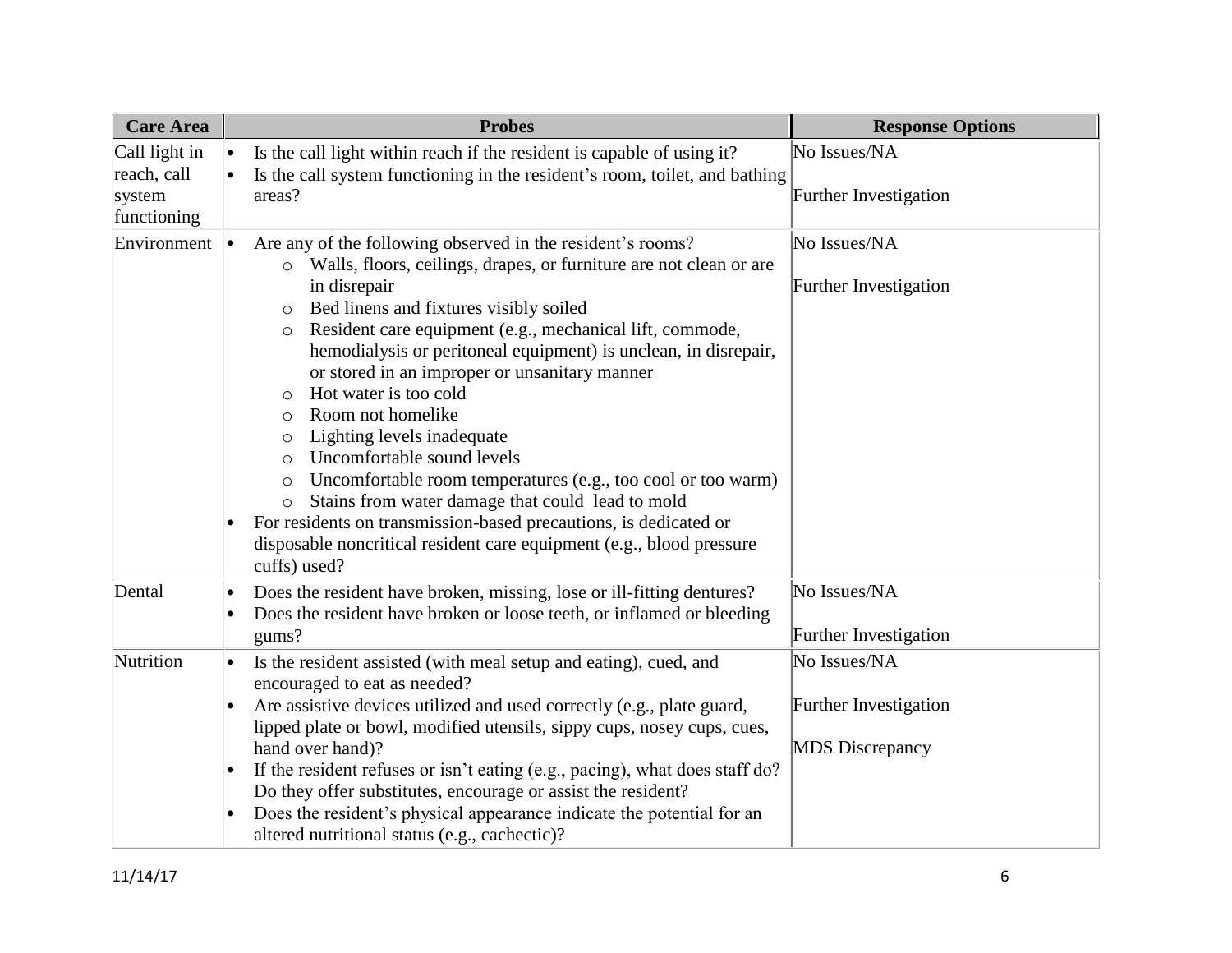| <b>Care Area</b>                                      | <b>Probes</b>                                                                                                                                                                                                                                                                                                                                                                                                                                                                                                                                                                                                                                                                                                                                                                                                                                                                          | <b>Response Options</b>                                         |
|-------------------------------------------------------|----------------------------------------------------------------------------------------------------------------------------------------------------------------------------------------------------------------------------------------------------------------------------------------------------------------------------------------------------------------------------------------------------------------------------------------------------------------------------------------------------------------------------------------------------------------------------------------------------------------------------------------------------------------------------------------------------------------------------------------------------------------------------------------------------------------------------------------------------------------------------------------|-----------------------------------------------------------------|
| Call light in<br>reach, call<br>system<br>functioning | Is the call light within reach if the resident is capable of using it?<br>$\bullet$<br>Is the call system functioning in the resident's room, toilet, and bathing<br>areas?                                                                                                                                                                                                                                                                                                                                                                                                                                                                                                                                                                                                                                                                                                            | No Issues/NA<br>Further Investigation                           |
| Environment                                           | Are any of the following observed in the resident's rooms?<br>$\bullet$<br>Walls, floors, ceilings, drapes, or furniture are not clean or are<br>$\circ$<br>in disrepair<br>Bed linens and fixtures visibly soiled<br>$\circ$<br>Resident care equipment (e.g., mechanical lift, commode,<br>$\circ$<br>hemodialysis or peritoneal equipment) is unclean, in disrepair,<br>or stored in an improper or unsanitary manner<br>Hot water is too cold<br>$\circ$<br>Room not homelike<br>$\circ$<br>Lighting levels inadequate<br>$\circ$<br>Uncomfortable sound levels<br>$\circ$<br>Uncomfortable room temperatures (e.g., too cool or too warm)<br>$\circ$<br>Stains from water damage that could lead to mold<br>For residents on transmission-based precautions, is dedicated or<br>$\bullet$<br>disposable noncritical resident care equipment (e.g., blood pressure<br>cuffs) used? | No Issues/NA<br><b>Further Investigation</b>                    |
| Dental                                                | Does the resident have broken, missing, lose or ill-fitting dentures?<br>$\bullet$<br>Does the resident have broken or loose teeth, or inflamed or bleeding<br>gums?                                                                                                                                                                                                                                                                                                                                                                                                                                                                                                                                                                                                                                                                                                                   | No Issues/NA<br><b>Further Investigation</b>                    |
| Nutrition                                             | Is the resident assisted (with meal setup and eating), cued, and<br>$\bullet$<br>encouraged to eat as needed?<br>Are assistive devices utilized and used correctly (e.g., plate guard,<br>lipped plate or bowl, modified utensils, sippy cups, nosey cups, cues,<br>hand over hand)?<br>If the resident refuses or isn't eating (e.g., pacing), what does staff do?<br>$\bullet$<br>Do they offer substitutes, encourage or assist the resident?<br>Does the resident's physical appearance indicate the potential for an<br>altered nutritional status (e.g., cachectic)?                                                                                                                                                                                                                                                                                                             | No Issues/NA<br>Further Investigation<br><b>MDS</b> Discrepancy |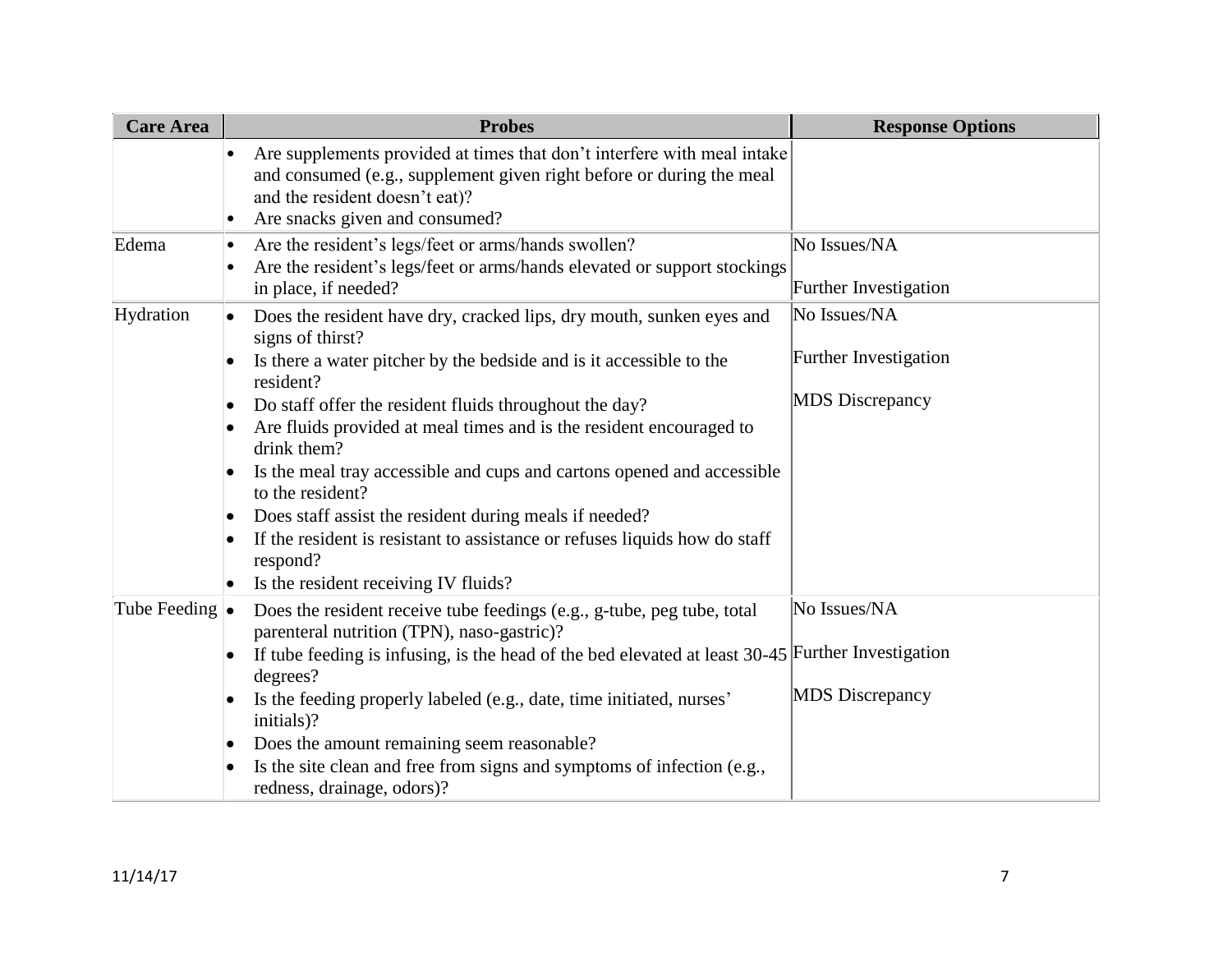| <b>Care Area</b>       | <b>Probes</b>                                                                                                                                                                                                                                                                                                                                                                                                                                                                                                                                                                                                                       | <b>Response Options</b>                                         |
|------------------------|-------------------------------------------------------------------------------------------------------------------------------------------------------------------------------------------------------------------------------------------------------------------------------------------------------------------------------------------------------------------------------------------------------------------------------------------------------------------------------------------------------------------------------------------------------------------------------------------------------------------------------------|-----------------------------------------------------------------|
|                        | Are supplements provided at times that don't interfere with meal intake<br>and consumed (e.g., supplement given right before or during the meal<br>and the resident doesn't eat)?<br>Are snacks given and consumed?<br>$\bullet$                                                                                                                                                                                                                                                                                                                                                                                                    |                                                                 |
| Edema                  | Are the resident's legs/feet or arms/hands swollen?<br>$\bullet$<br>Are the resident's legs/feet or arms/hands elevated or support stockings<br>in place, if needed?                                                                                                                                                                                                                                                                                                                                                                                                                                                                | No Issues/NA<br>Further Investigation                           |
| Hydration              | Does the resident have dry, cracked lips, dry mouth, sunken eyes and<br>signs of thirst?<br>Is there a water pitcher by the bedside and is it accessible to the<br>resident?<br>Do staff offer the resident fluids throughout the day?<br>$\bullet$<br>Are fluids provided at meal times and is the resident encouraged to<br>drink them?<br>Is the meal tray accessible and cups and cartons opened and accessible<br>to the resident?<br>Does staff assist the resident during meals if needed?<br>If the resident is resistant to assistance or refuses liquids how do staff<br>respond?<br>Is the resident receiving IV fluids? | No Issues/NA<br>Further Investigation<br><b>MDS</b> Discrepancy |
| Tube Feeding $\bullet$ | Does the resident receive tube feedings (e.g., g-tube, peg tube, total<br>parenteral nutrition (TPN), naso-gastric)?<br>If tube feeding is infusing, is the head of the bed elevated at least $30-45$ Further Investigation<br>degrees?<br>Is the feeding properly labeled (e.g., date, time initiated, nurses'<br>initials)?<br>Does the amount remaining seem reasonable?<br>$\bullet$<br>Is the site clean and free from signs and symptoms of infection (e.g.,<br>redness, drainage, odors)?                                                                                                                                    | No Issues/NA<br><b>MDS</b> Discrepancy                          |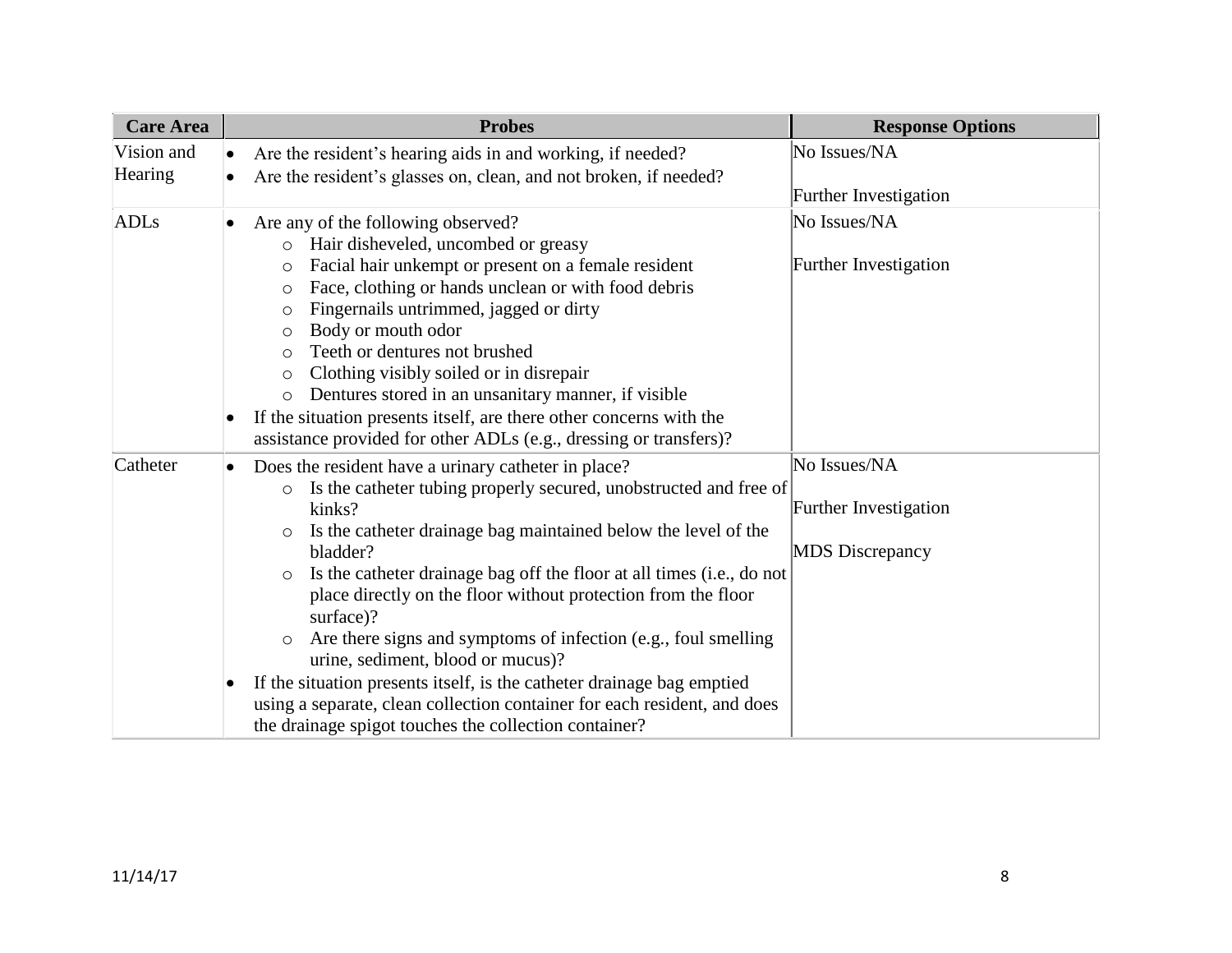| <b>Care Area</b>      |                        | <b>Probes</b>                                                                                                                                                                                                                                                                                                                                                                                                                                                                                                                                                                                                                                                                                                                             | <b>Response Options</b>                                         |
|-----------------------|------------------------|-------------------------------------------------------------------------------------------------------------------------------------------------------------------------------------------------------------------------------------------------------------------------------------------------------------------------------------------------------------------------------------------------------------------------------------------------------------------------------------------------------------------------------------------------------------------------------------------------------------------------------------------------------------------------------------------------------------------------------------------|-----------------------------------------------------------------|
| Vision and<br>Hearing | $\bullet$<br>$\bullet$ | Are the resident's hearing aids in and working, if needed?<br>Are the resident's glasses on, clean, and not broken, if needed?                                                                                                                                                                                                                                                                                                                                                                                                                                                                                                                                                                                                            | No Issues/NA<br>Further Investigation                           |
| ADLs                  | $\bullet$              | Are any of the following observed?<br>Hair disheveled, uncombed or greasy<br>$\circ$<br>Facial hair unkempt or present on a female resident<br>$\circ$<br>Face, clothing or hands unclean or with food debris<br>$\circ$<br>Fingernails untrimmed, jagged or dirty<br>$\circ$<br>Body or mouth odor<br>$\circ$<br>Teeth or dentures not brushed<br>$\bigcirc$<br>Clothing visibly soiled or in disrepair<br>$\circ$<br>Dentures stored in an unsanitary manner, if visible<br>$\circ$<br>If the situation presents itself, are there other concerns with the<br>assistance provided for other ADLs (e.g., dressing or transfers)?                                                                                                         | No Issues/NA<br>Further Investigation                           |
| Catheter              | $\bullet$              | Does the resident have a urinary catheter in place?<br>Is the catheter tubing properly secured, unobstructed and free of<br>$\circ$<br>kinks?<br>Is the catheter drainage bag maintained below the level of the<br>$\circ$<br>bladder?<br>Is the catheter drainage bag off the floor at all times (i.e., do not<br>$\circ$<br>place directly on the floor without protection from the floor<br>surface)?<br>Are there signs and symptoms of infection (e.g., foul smelling<br>$\circ$<br>urine, sediment, blood or mucus)?<br>If the situation presents itself, is the catheter drainage bag emptied<br>using a separate, clean collection container for each resident, and does<br>the drainage spigot touches the collection container? | No Issues/NA<br>Further Investigation<br><b>MDS</b> Discrepancy |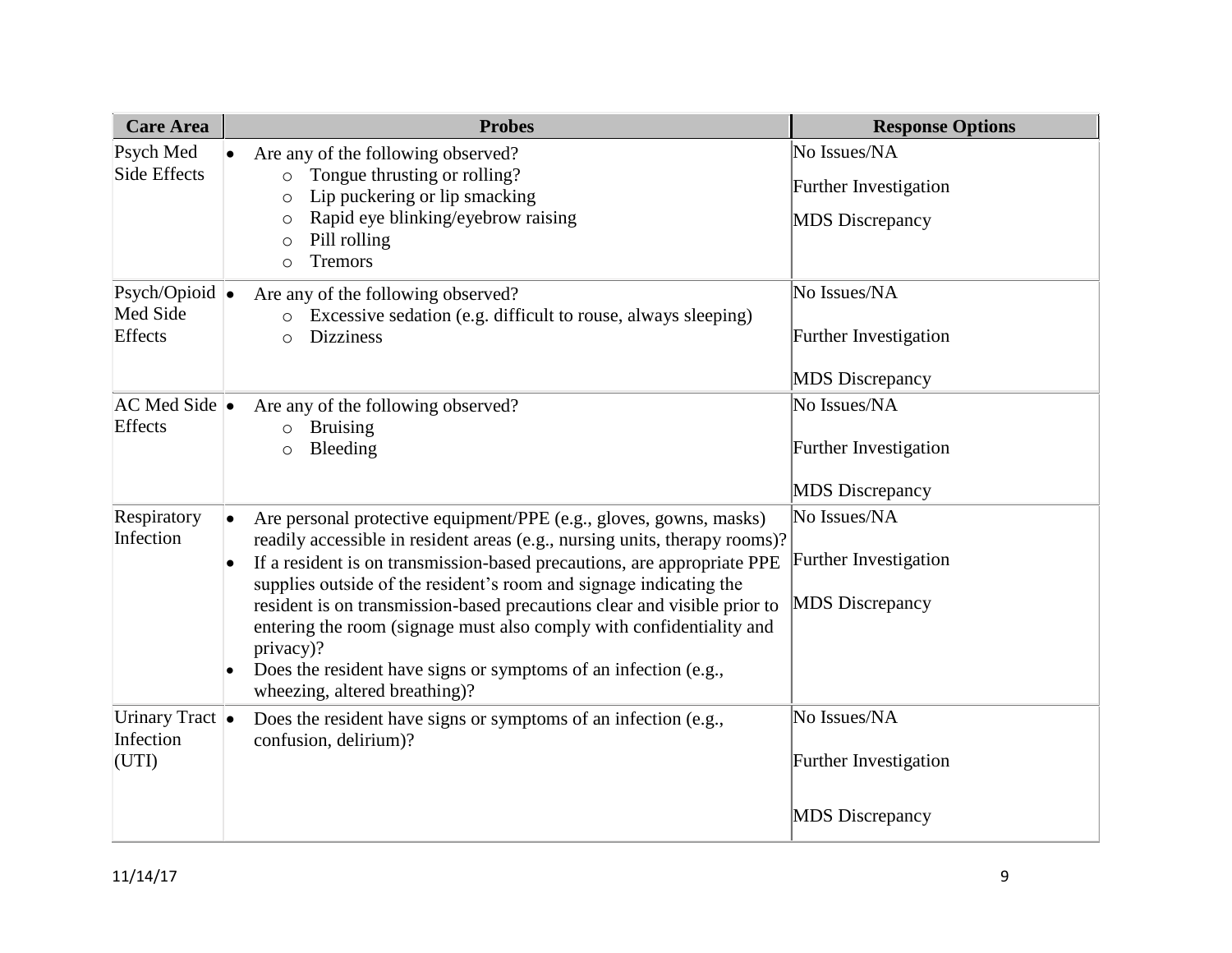| <b>Care Area</b>                              | <b>Probes</b>                                                                                                                                                                                                                                                                                                                                                                                                                                                                                                                                                          | <b>Response Options</b>                                                |
|-----------------------------------------------|------------------------------------------------------------------------------------------------------------------------------------------------------------------------------------------------------------------------------------------------------------------------------------------------------------------------------------------------------------------------------------------------------------------------------------------------------------------------------------------------------------------------------------------------------------------------|------------------------------------------------------------------------|
| Psych Med<br>Side Effects                     | Are any of the following observed?<br>Tongue thrusting or rolling?<br>$\circ$<br>Lip puckering or lip smacking<br>$\circ$<br>Rapid eye blinking/eyebrow raising<br>$\circ$<br>Pill rolling<br>$\circ$<br><b>Tremors</b><br>$\circ$                                                                                                                                                                                                                                                                                                                                     | No Issues/NA<br>Further Investigation<br><b>MDS</b> Discrepancy        |
| Psych/Opioid $\bullet$<br>Med Side<br>Effects | Are any of the following observed?<br>Excessive sedation (e.g. difficult to rouse, always sleeping)<br><b>Dizziness</b><br>$\circ$                                                                                                                                                                                                                                                                                                                                                                                                                                     | No Issues/NA<br><b>Further Investigation</b><br><b>MDS</b> Discrepancy |
| $AC$ Med Side $\bullet$<br>Effects            | Are any of the following observed?<br><b>Bruising</b><br>$\circ$<br>Bleeding<br>$\circ$                                                                                                                                                                                                                                                                                                                                                                                                                                                                                | No Issues/NA<br>Further Investigation<br><b>MDS</b> Discrepancy        |
| Respiratory<br>Infection                      | Are personal protective equipment/PPE (e.g., gloves, gowns, masks)<br>readily accessible in resident areas (e.g., nursing units, therapy rooms)?<br>If a resident is on transmission-based precautions, are appropriate PPE<br>supplies outside of the resident's room and signage indicating the<br>resident is on transmission-based precautions clear and visible prior to<br>entering the room (signage must also comply with confidentiality and<br>privacy)?<br>Does the resident have signs or symptoms of an infection (e.g.,<br>wheezing, altered breathing)? | No Issues/NA<br>Further Investigation<br><b>MDS</b> Discrepancy        |
| Urinary Tract $\bullet$<br>Infection<br>(UTI) | Does the resident have signs or symptoms of an infection (e.g.,<br>confusion, delirium)?                                                                                                                                                                                                                                                                                                                                                                                                                                                                               | No Issues/NA<br>Further Investigation<br><b>MDS</b> Discrepancy        |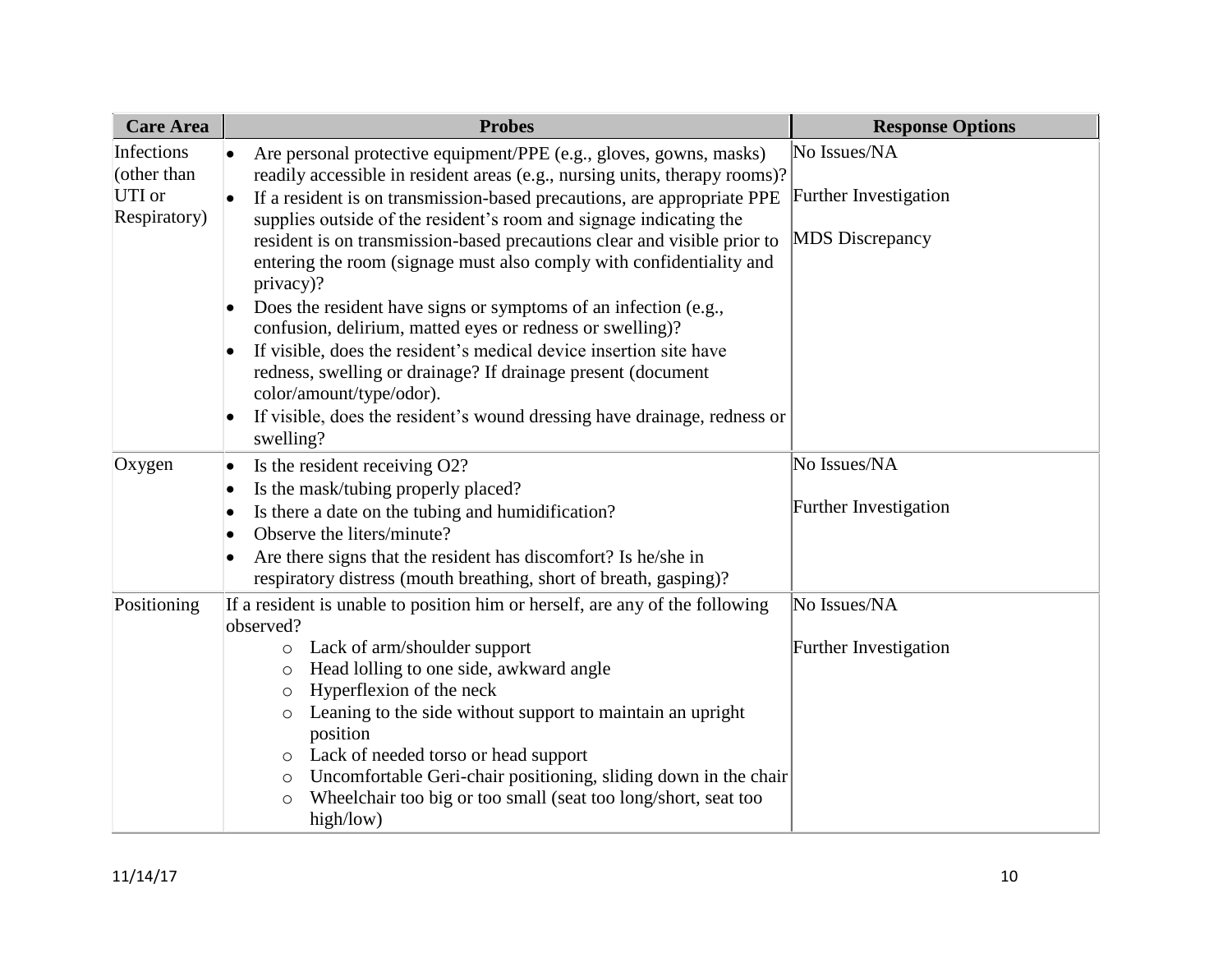| <b>Care Area</b> | <b>Probes</b>                                                                | <b>Response Options</b> |
|------------------|------------------------------------------------------------------------------|-------------------------|
| Infections       | Are personal protective equipment/PPE (e.g., gloves, gowns, masks)           | No Issues/NA            |
| (other than      | readily accessible in resident areas (e.g., nursing units, therapy rooms)?   |                         |
| UTI or           | If a resident is on transmission-based precautions, are appropriate PPE      | Further Investigation   |
| Respiratory)     | supplies outside of the resident's room and signage indicating the           |                         |
|                  | resident is on transmission-based precautions clear and visible prior to     | <b>MDS</b> Discrepancy  |
|                  | entering the room (signage must also comply with confidentiality and         |                         |
|                  | privacy)?                                                                    |                         |
|                  | Does the resident have signs or symptoms of an infection (e.g.,              |                         |
|                  | confusion, delirium, matted eyes or redness or swelling)?                    |                         |
|                  | If visible, does the resident's medical device insertion site have           |                         |
|                  | redness, swelling or drainage? If drainage present (document                 |                         |
|                  | color/amount/type/odor).                                                     |                         |
|                  | If visible, does the resident's wound dressing have drainage, redness or     |                         |
|                  | swelling?                                                                    |                         |
| Oxygen           | Is the resident receiving O2?<br>$\bullet$                                   | No Issues/NA            |
|                  | Is the mask/tubing properly placed?                                          |                         |
|                  | Is there a date on the tubing and humidification?<br>$\bullet$               | Further Investigation   |
|                  | Observe the liters/minute?                                                   |                         |
|                  | Are there signs that the resident has discomfort? Is he/she in               |                         |
|                  | respiratory distress (mouth breathing, short of breath, gasping)?            |                         |
| Positioning      | If a resident is unable to position him or herself, are any of the following | No Issues/NA            |
|                  | observed?                                                                    |                         |
|                  | Lack of arm/shoulder support<br>$\circ$                                      | Further Investigation   |
|                  | Head lolling to one side, awkward angle<br>$\circ$                           |                         |
|                  | Hyperflexion of the neck<br>$\circ$                                          |                         |
|                  | Leaning to the side without support to maintain an upright<br>$\circ$        |                         |
|                  | position                                                                     |                         |
|                  | Lack of needed torso or head support<br>O                                    |                         |
|                  | Uncomfortable Geri-chair positioning, sliding down in the chair<br>O         |                         |
|                  | Wheelchair too big or too small (seat too long/short, seat too<br>$\circ$    |                         |
|                  | high/low)                                                                    |                         |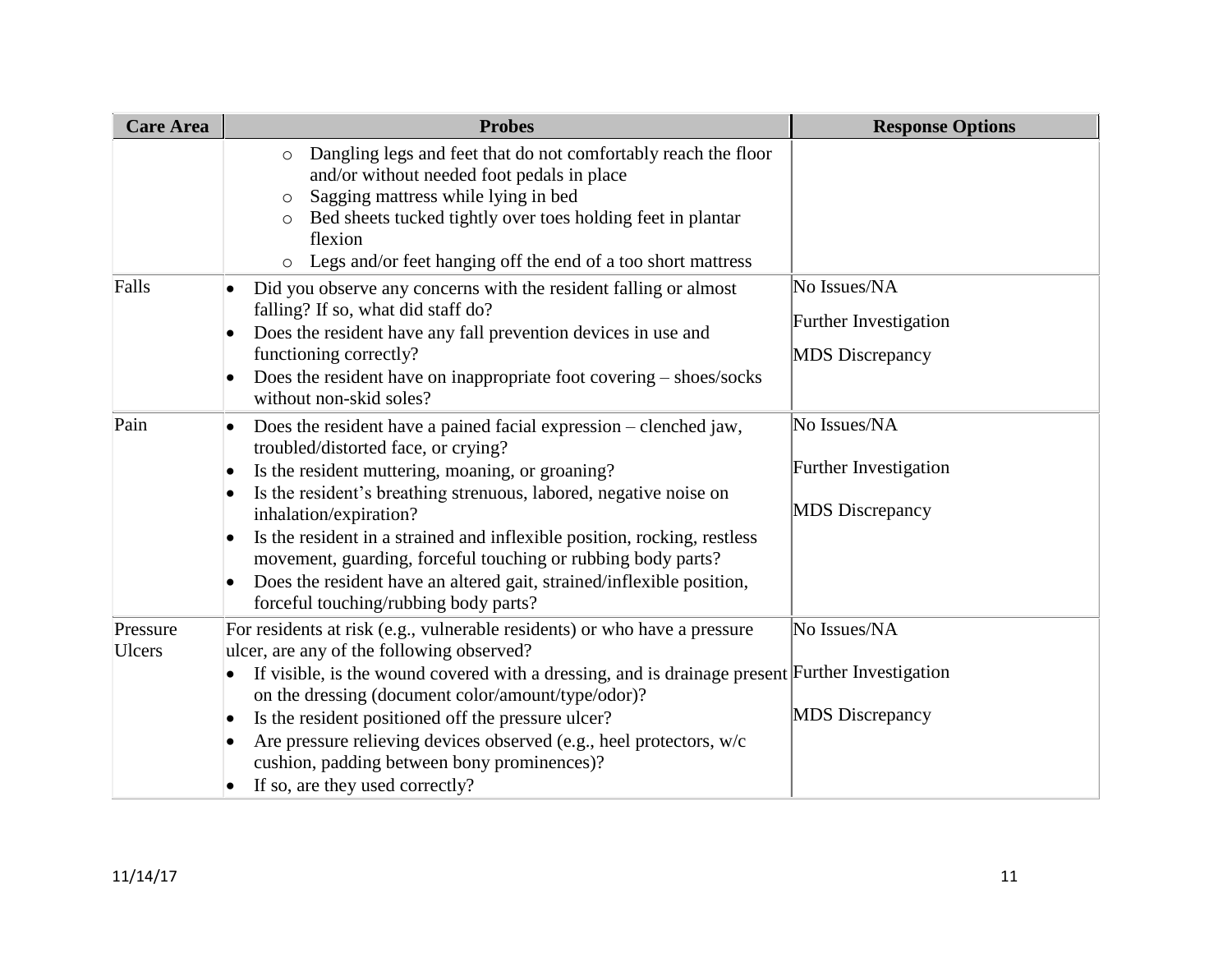| <b>Care Area</b>   | <b>Probes</b>                                                                                                                                                                                                                                                                                                                                                                                                                                                                                                                                       | <b>Response Options</b>                                                |
|--------------------|-----------------------------------------------------------------------------------------------------------------------------------------------------------------------------------------------------------------------------------------------------------------------------------------------------------------------------------------------------------------------------------------------------------------------------------------------------------------------------------------------------------------------------------------------------|------------------------------------------------------------------------|
|                    | Dangling legs and feet that do not comfortably reach the floor<br>$\circ$<br>and/or without needed foot pedals in place<br>Sagging mattress while lying in bed<br>$\circ$<br>Bed sheets tucked tightly over toes holding feet in plantar<br>flexion<br>Legs and/or feet hanging off the end of a too short mattress<br>$\circ$                                                                                                                                                                                                                      |                                                                        |
| Falls              | Did you observe any concerns with the resident falling or almost<br>falling? If so, what did staff do?<br>Does the resident have any fall prevention devices in use and<br>functioning correctly?<br>Does the resident have on inappropriate foot covering - shoes/socks<br>without non-skid soles?                                                                                                                                                                                                                                                 | No Issues/NA<br><b>Further Investigation</b><br><b>MDS</b> Discrepancy |
| Pain               | Does the resident have a pained facial expression – clenched jaw,<br>$\bullet$<br>troubled/distorted face, or crying?<br>Is the resident muttering, moaning, or groaning?<br>Is the resident's breathing strenuous, labored, negative noise on<br>inhalation/expiration?<br>Is the resident in a strained and inflexible position, rocking, restless<br>$\bullet$<br>movement, guarding, forceful touching or rubbing body parts?<br>Does the resident have an altered gait, strained/inflexible position,<br>forceful touching/rubbing body parts? | No Issues/NA<br>Further Investigation<br><b>MDS</b> Discrepancy        |
| Pressure<br>Ulcers | For residents at risk (e.g., vulnerable residents) or who have a pressure<br>ulcer, are any of the following observed?<br>If visible, is the wound covered with a dressing, and is drainage present Further Investigation<br>on the dressing (document color/amount/type/odor)?<br>Is the resident positioned off the pressure ulcer?<br>Are pressure relieving devices observed (e.g., heel protectors, w/c<br>cushion, padding between bony prominences)?<br>If so, are they used correctly?<br>$\bullet$                                         | No Issues/NA<br><b>MDS</b> Discrepancy                                 |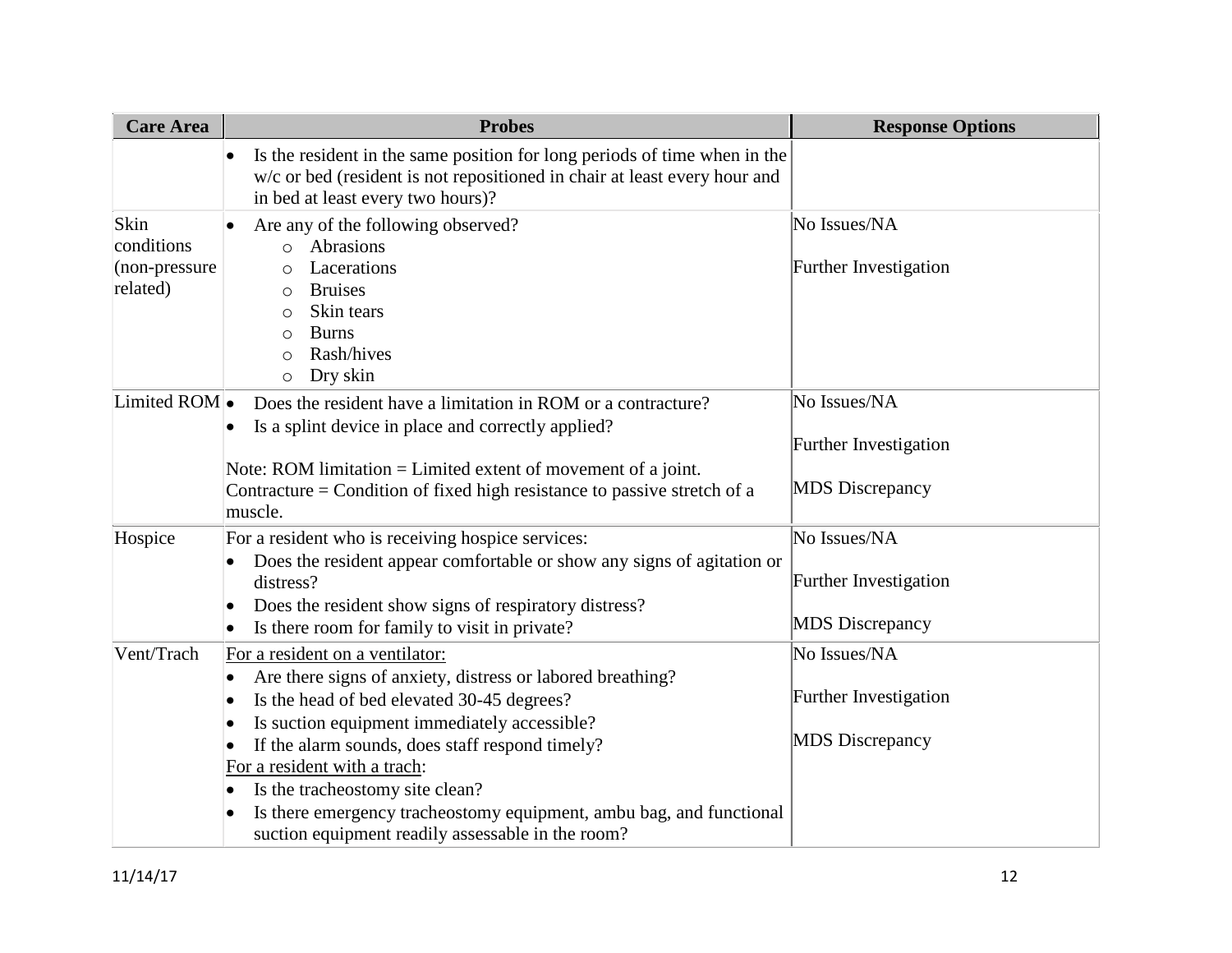| <b>Care Area</b> | <b>Probes</b>                                                                                                                                                                                            | <b>Response Options</b>      |
|------------------|----------------------------------------------------------------------------------------------------------------------------------------------------------------------------------------------------------|------------------------------|
|                  | Is the resident in the same position for long periods of time when in the<br>$\bullet$<br>w/c or bed (resident is not repositioned in chair at least every hour and<br>in bed at least every two hours)? |                              |
| Skin             | Are any of the following observed?                                                                                                                                                                       | No Issues/NA                 |
| conditions       | Abrasions<br>$\circ$                                                                                                                                                                                     |                              |
| $(non-pressure)$ | Lacerations<br>$\circ$                                                                                                                                                                                   | Further Investigation        |
| related)         | <b>Bruises</b><br>$\circ$                                                                                                                                                                                |                              |
|                  | Skin tears<br>O                                                                                                                                                                                          |                              |
|                  | <b>Burns</b><br>$\circ$                                                                                                                                                                                  |                              |
|                  | Rash/hives<br>$\circ$                                                                                                                                                                                    |                              |
|                  | Dry skin<br>$\circ$                                                                                                                                                                                      |                              |
| Limited ROM      | Does the resident have a limitation in ROM or a contracture?                                                                                                                                             | No Issues/NA                 |
|                  | Is a splint device in place and correctly applied?                                                                                                                                                       |                              |
|                  |                                                                                                                                                                                                          | Further Investigation        |
|                  | Note: ROM limitation $=$ Limited extent of movement of a joint.                                                                                                                                          |                              |
|                  | Contracture = Condition of fixed high resistance to passive stretch of a                                                                                                                                 | <b>MDS</b> Discrepancy       |
|                  | muscle.                                                                                                                                                                                                  |                              |
| Hospice          | For a resident who is receiving hospice services:                                                                                                                                                        | No Issues/NA                 |
|                  | Does the resident appear comfortable or show any signs of agitation or                                                                                                                                   |                              |
|                  | distress?                                                                                                                                                                                                | <b>Further Investigation</b> |
|                  | Does the resident show signs of respiratory distress?                                                                                                                                                    |                              |
|                  | Is there room for family to visit in private?                                                                                                                                                            | <b>MDS</b> Discrepancy       |
| Vent/Trach       | For a resident on a ventilator:                                                                                                                                                                          | No Issues/NA                 |
|                  | Are there signs of anxiety, distress or labored breathing?<br>$\bullet$                                                                                                                                  |                              |
|                  | Is the head of bed elevated 30-45 degrees?<br>$\bullet$                                                                                                                                                  | Further Investigation        |
|                  | Is suction equipment immediately accessible?<br>$\bullet$                                                                                                                                                |                              |
|                  | If the alarm sounds, does staff respond timely?                                                                                                                                                          | <b>MDS</b> Discrepancy       |
|                  | For a resident with a trach:                                                                                                                                                                             |                              |
|                  | Is the tracheostomy site clean?                                                                                                                                                                          |                              |
|                  | Is there emergency tracheostomy equipment, ambu bag, and functional                                                                                                                                      |                              |
|                  | suction equipment readily assessable in the room?                                                                                                                                                        |                              |